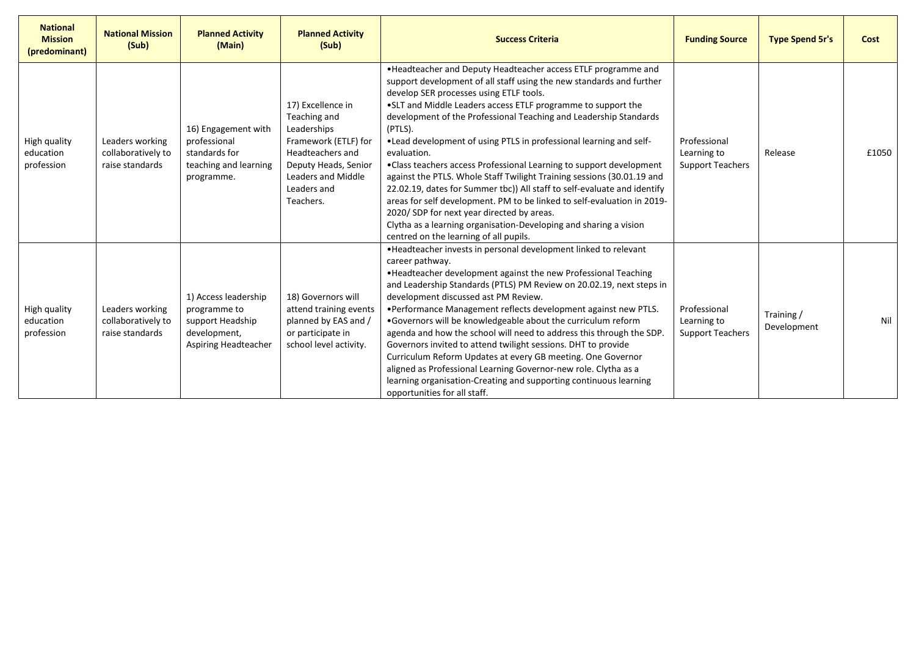| <b>National</b><br><b>Mission</b><br>(predominant) | <b>National Mission</b><br>(Sub)                         | <b>Planned Activity</b><br>(Main)                                                                | <b>Planned Activity</b><br>(Sub)                                                                                                                                       | <b>Success Criteria</b>                                                                                                                                                                                                                                                                                                                                                                                                                                                                                                                                                                                                                                                                                                                                                                                                                                                                     | <b>Funding Source</b>                                  | <b>Type Spend 5r's</b>   | Cost  |
|----------------------------------------------------|----------------------------------------------------------|--------------------------------------------------------------------------------------------------|------------------------------------------------------------------------------------------------------------------------------------------------------------------------|---------------------------------------------------------------------------------------------------------------------------------------------------------------------------------------------------------------------------------------------------------------------------------------------------------------------------------------------------------------------------------------------------------------------------------------------------------------------------------------------------------------------------------------------------------------------------------------------------------------------------------------------------------------------------------------------------------------------------------------------------------------------------------------------------------------------------------------------------------------------------------------------|--------------------------------------------------------|--------------------------|-------|
| High quality<br>education<br>profession            | Leaders working<br>collaboratively to<br>raise standards | 16) Engagement with<br>professional<br>standards for<br>teaching and learning<br>programme.      | 17) Excellence in<br>Teaching and<br>Leaderships<br>Framework (ETLF) for<br>Headteachers and<br>Deputy Heads, Senior<br>Leaders and Middle<br>Leaders and<br>Teachers. | . Headteacher and Deputy Headteacher access ETLF programme and<br>support development of all staff using the new standards and further<br>develop SER processes using ETLF tools.<br>.SLT and Middle Leaders access ETLF programme to support the<br>development of the Professional Teaching and Leadership Standards<br>(PTLS).<br>. Lead development of using PTLS in professional learning and self-<br>evaluation.<br>•Class teachers access Professional Learning to support development<br>against the PTLS. Whole Staff Twilight Training sessions (30.01.19 and<br>22.02.19, dates for Summer tbc)) All staff to self-evaluate and identify<br>areas for self development. PM to be linked to self-evaluation in 2019-<br>2020/SDP for next year directed by areas.<br>Clytha as a learning organisation-Developing and sharing a vision<br>centred on the learning of all pupils. | Professional<br>Learning to<br><b>Support Teachers</b> | Release                  | £1050 |
| High quality<br>education<br>profession            | Leaders working<br>collaboratively to<br>raise standards | 1) Access leadership<br>programme to<br>support Headship<br>development,<br>Aspiring Headteacher | 18) Governors will<br>attend training events<br>planned by EAS and /<br>or participate in<br>school level activity.                                                    | . Headteacher invests in personal development linked to relevant<br>career pathway.<br>• Headteacher development against the new Professional Teaching<br>and Leadership Standards (PTLS) PM Review on 20.02.19, next steps in<br>development discussed ast PM Review.<br>•Performance Management reflects development against new PTLS.<br>.Governors will be knowledgeable about the curriculum reform<br>agenda and how the school will need to address this through the SDP.<br>Governors invited to attend twilight sessions. DHT to provide<br>Curriculum Reform Updates at every GB meeting. One Governor<br>aligned as Professional Learning Governor-new role. Clytha as a<br>learning organisation-Creating and supporting continuous learning<br>opportunities for all staff.                                                                                                    | Professional<br>Learning to<br><b>Support Teachers</b> | Training/<br>Development | Nil   |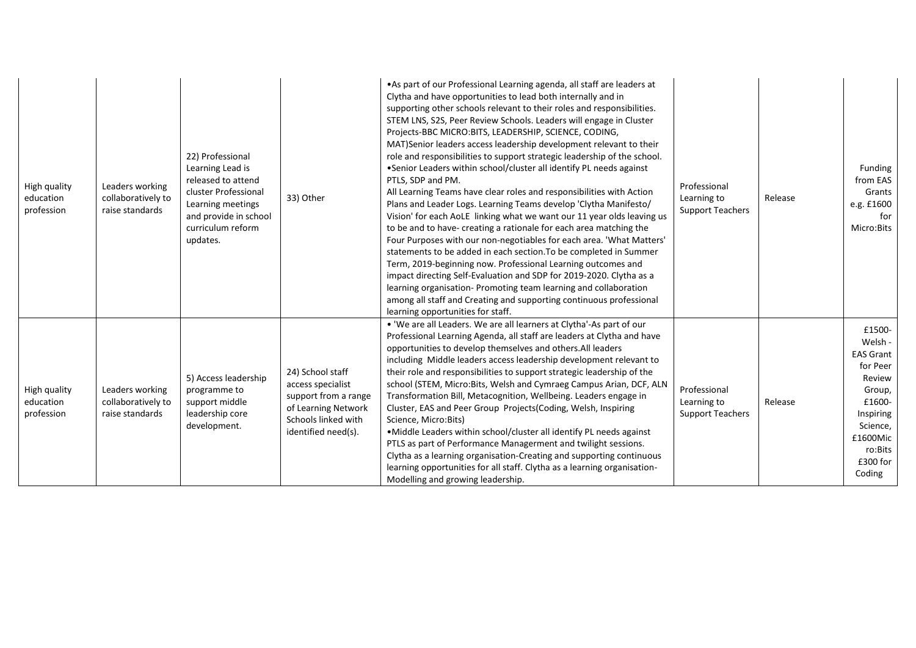| High quality<br>education<br>profession | Leaders working<br>collaboratively to<br>raise standards | 22) Professional<br>Learning Lead is<br>released to attend<br>cluster Professional<br>Learning meetings<br>and provide in school<br>curriculum reform<br>updates. | 33) Other                                                                                                                          | • As part of our Professional Learning agenda, all staff are leaders at<br>Clytha and have opportunities to lead both internally and in<br>supporting other schools relevant to their roles and responsibilities.<br>STEM LNS, S2S, Peer Review Schools. Leaders will engage in Cluster<br>Projects-BBC MICRO:BITS, LEADERSHIP, SCIENCE, CODING,<br>MAT)Senior leaders access leadership development relevant to their<br>role and responsibilities to support strategic leadership of the school.<br>•Senior Leaders within school/cluster all identify PL needs against<br>PTLS, SDP and PM.<br>All Learning Teams have clear roles and responsibilities with Action<br>Plans and Leader Logs. Learning Teams develop 'Clytha Manifesto/<br>Vision' for each AoLE linking what we want our 11 year olds leaving us<br>to be and to have- creating a rationale for each area matching the<br>Four Purposes with our non-negotiables for each area. 'What Matters'<br>statements to be added in each section. To be completed in Summer<br>Term, 2019-beginning now. Professional Learning outcomes and<br>impact directing Self-Evaluation and SDP for 2019-2020. Clytha as a<br>learning organisation- Promoting team learning and collaboration<br>among all staff and Creating and supporting continuous professional<br>learning opportunities for staff. | Professional<br>Learning to<br><b>Support Teachers</b> | Release | Funding<br>from EAS<br>Grants<br>e.g. £1600<br>for<br>Micro:Bits                                                                                      |
|-----------------------------------------|----------------------------------------------------------|-------------------------------------------------------------------------------------------------------------------------------------------------------------------|------------------------------------------------------------------------------------------------------------------------------------|----------------------------------------------------------------------------------------------------------------------------------------------------------------------------------------------------------------------------------------------------------------------------------------------------------------------------------------------------------------------------------------------------------------------------------------------------------------------------------------------------------------------------------------------------------------------------------------------------------------------------------------------------------------------------------------------------------------------------------------------------------------------------------------------------------------------------------------------------------------------------------------------------------------------------------------------------------------------------------------------------------------------------------------------------------------------------------------------------------------------------------------------------------------------------------------------------------------------------------------------------------------------------------------------------------------------------------------------------------------|--------------------------------------------------------|---------|-------------------------------------------------------------------------------------------------------------------------------------------------------|
| High quality<br>education<br>profession | Leaders working<br>collaboratively to<br>raise standards | 5) Access leadership<br>programme to<br>support middle<br>leadership core<br>development.                                                                         | 24) School staff<br>access specialist<br>support from a range<br>of Learning Network<br>Schools linked with<br>identified need(s). | . 'We are all Leaders. We are all learners at Clytha'-As part of our<br>Professional Learning Agenda, all staff are leaders at Clytha and have<br>opportunities to develop themselves and others. All leaders<br>including Middle leaders access leadership development relevant to<br>their role and responsibilities to support strategic leadership of the<br>school (STEM, Micro:Bits, Welsh and Cymraeg Campus Arian, DCF, ALN<br>Transformation Bill, Metacognition, Wellbeing. Leaders engage in<br>Cluster, EAS and Peer Group Projects(Coding, Welsh, Inspiring<br>Science, Micro:Bits)<br>. Middle Leaders within school/cluster all identify PL needs against<br>PTLS as part of Performance Managerment and twilight sessions.<br>Clytha as a learning organisation-Creating and supporting continuous<br>learning opportunities for all staff. Clytha as a learning organisation-<br>Modelling and growing leadership.                                                                                                                                                                                                                                                                                                                                                                                                                            | Professional<br>Learning to<br><b>Support Teachers</b> | Release | £1500-<br>Welsh -<br><b>EAS Grant</b><br>for Peer<br>Review<br>Group,<br>£1600-<br>Inspiring<br>Science,<br>£1600Mic<br>ro:Bits<br>£300 for<br>Coding |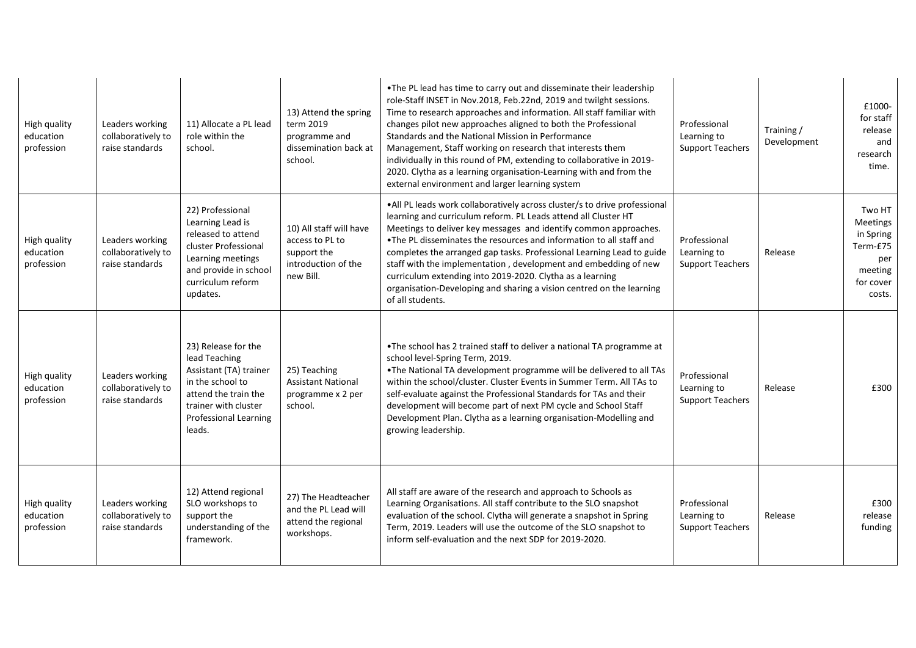| High quality<br>education<br>profession | Leaders working<br>collaboratively to<br>raise standards | 11) Allocate a PL lead<br>role within the<br>school.                                                                                                                         | 13) Attend the spring<br>term 2019<br>programme and<br>dissemination back at<br>school.       | . The PL lead has time to carry out and disseminate their leadership<br>role-Staff INSET in Nov.2018, Feb.22nd, 2019 and twilght sessions.<br>Time to research approaches and information. All staff familiar with<br>changes pilot new approaches aligned to both the Professional<br>Standards and the National Mission in Performance<br>Management, Staff working on research that interests them<br>individually in this round of PM, extending to collaborative in 2019-<br>2020. Clytha as a learning organisation-Learning with and from the<br>external environment and larger learning system | Professional<br>Learning to<br><b>Support Teachers</b> | Training /<br>Development | £1000-<br>for staff<br>release<br>and<br>research<br>time.                           |
|-----------------------------------------|----------------------------------------------------------|------------------------------------------------------------------------------------------------------------------------------------------------------------------------------|-----------------------------------------------------------------------------------------------|---------------------------------------------------------------------------------------------------------------------------------------------------------------------------------------------------------------------------------------------------------------------------------------------------------------------------------------------------------------------------------------------------------------------------------------------------------------------------------------------------------------------------------------------------------------------------------------------------------|--------------------------------------------------------|---------------------------|--------------------------------------------------------------------------------------|
| High quality<br>education<br>profession | Leaders working<br>collaboratively to<br>raise standards | 22) Professional<br>Learning Lead is<br>released to attend<br>cluster Professional<br>Learning meetings<br>and provide in school<br>curriculum reform<br>updates.            | 10) All staff will have<br>access to PL to<br>support the<br>introduction of the<br>new Bill. | .All PL leads work collaboratively across cluster/s to drive professional<br>learning and curriculum reform. PL Leads attend all Cluster HT<br>Meetings to deliver key messages and identify common approaches.<br>. The PL disseminates the resources and information to all staff and<br>completes the arranged gap tasks. Professional Learning Lead to guide<br>staff with the implementation, development and embedding of new<br>curriculum extending into 2019-2020. Clytha as a learning<br>organisation-Developing and sharing a vision centred on the learning<br>of all students.            | Professional<br>Learning to<br><b>Support Teachers</b> | Release                   | Two HT<br>Meetings<br>in Spring<br>Term-£75<br>per<br>meeting<br>for cover<br>costs. |
| High quality<br>education<br>profession | Leaders working<br>collaboratively to<br>raise standards | 23) Release for the<br>lead Teaching<br>Assistant (TA) trainer<br>in the school to<br>attend the train the<br>trainer with cluster<br><b>Professional Learning</b><br>leads. | 25) Teaching<br><b>Assistant National</b><br>programme x 2 per<br>school.                     | .The school has 2 trained staff to deliver a national TA programme at<br>school level-Spring Term, 2019.<br>.The National TA development programme will be delivered to all TAs<br>within the school/cluster. Cluster Events in Summer Term. All TAs to<br>self-evaluate against the Professional Standards for TAs and their<br>development will become part of next PM cycle and School Staff<br>Development Plan. Clytha as a learning organisation-Modelling and<br>growing leadership.                                                                                                             | Professional<br>Learning to<br><b>Support Teachers</b> | Release                   | £300                                                                                 |
| High quality<br>education<br>profession | Leaders working<br>collaboratively to<br>raise standards | 12) Attend regional<br>SLO workshops to<br>support the<br>understanding of the<br>framework.                                                                                 | 27) The Headteacher<br>and the PL Lead will<br>attend the regional<br>workshops.              | All staff are aware of the research and approach to Schools as<br>Learning Organisations. All staff contribute to the SLO snapshot<br>evaluation of the school. Clytha will generate a snapshot in Spring<br>Term, 2019. Leaders will use the outcome of the SLO snapshot to<br>inform self-evaluation and the next SDP for 2019-2020.                                                                                                                                                                                                                                                                  | Professional<br>Learning to<br><b>Support Teachers</b> | Release                   | £300<br>release<br>funding                                                           |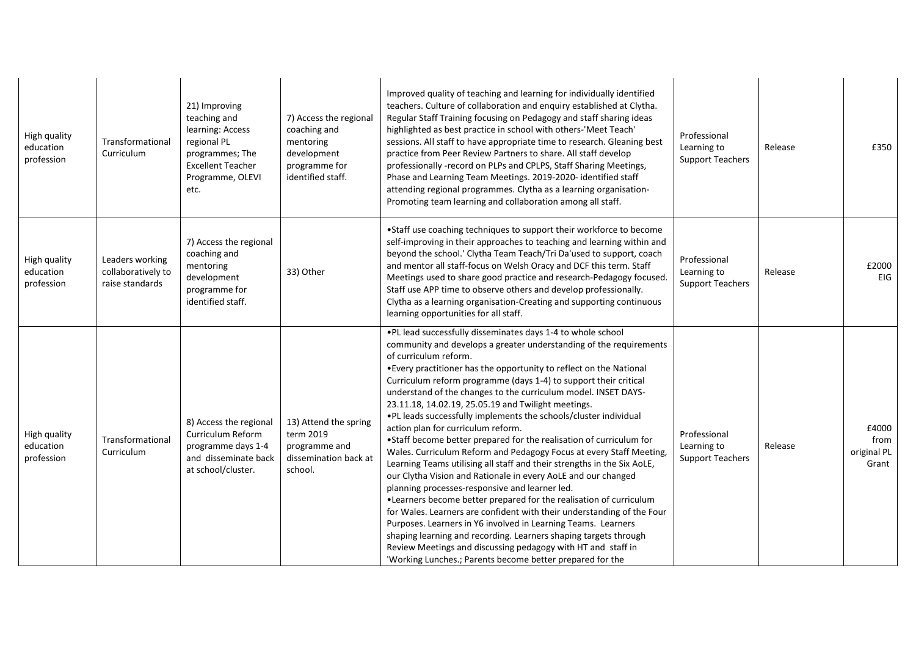| High quality<br>education<br>profession | Transformational<br>Curriculum                           | 21) Improving<br>teaching and<br>learning: Access<br>regional PL<br>programmes; The<br><b>Excellent Teacher</b><br>Programme, OLEVI<br>etc. | 7) Access the regional<br>coaching and<br>mentoring<br>development<br>programme for<br>identified staff. | Improved quality of teaching and learning for individually identified<br>teachers. Culture of collaboration and enquiry established at Clytha.<br>Regular Staff Training focusing on Pedagogy and staff sharing ideas<br>highlighted as best practice in school with others-'Meet Teach'<br>sessions. All staff to have appropriate time to research. Gleaning best<br>practice from Peer Review Partners to share. All staff develop<br>professionally -record on PLPs and CPLPS, Staff Sharing Meetings,<br>Phase and Learning Team Meetings. 2019-2020- identified staff<br>attending regional programmes. Clytha as a learning organisation-<br>Promoting team learning and collaboration among all staff.                                                                                                                                                                                                                                                                                                                                                                                                                                                                                                                                                                                            | Professional<br>Learning to<br><b>Support Teachers</b> | Release | £350                                  |
|-----------------------------------------|----------------------------------------------------------|---------------------------------------------------------------------------------------------------------------------------------------------|----------------------------------------------------------------------------------------------------------|-----------------------------------------------------------------------------------------------------------------------------------------------------------------------------------------------------------------------------------------------------------------------------------------------------------------------------------------------------------------------------------------------------------------------------------------------------------------------------------------------------------------------------------------------------------------------------------------------------------------------------------------------------------------------------------------------------------------------------------------------------------------------------------------------------------------------------------------------------------------------------------------------------------------------------------------------------------------------------------------------------------------------------------------------------------------------------------------------------------------------------------------------------------------------------------------------------------------------------------------------------------------------------------------------------------|--------------------------------------------------------|---------|---------------------------------------|
| High quality<br>education<br>profession | Leaders working<br>collaboratively to<br>raise standards | 7) Access the regional<br>coaching and<br>mentoring<br>development<br>programme for<br>identified staff.                                    | 33) Other                                                                                                | •Staff use coaching techniques to support their workforce to become<br>self-improving in their approaches to teaching and learning within and<br>beyond the school.' Clytha Team Teach/Tri Da'used to support, coach<br>and mentor all staff-focus on Welsh Oracy and DCF this term. Staff<br>Meetings used to share good practice and research-Pedagogy focused.<br>Staff use APP time to observe others and develop professionally.<br>Clytha as a learning organisation-Creating and supporting continuous<br>learning opportunities for all staff.                                                                                                                                                                                                                                                                                                                                                                                                                                                                                                                                                                                                                                                                                                                                                    | Professional<br>Learning to<br><b>Support Teachers</b> | Release | £2000<br><b>EIG</b>                   |
| High quality<br>education<br>profession | Transformational<br>Curriculum                           | 8) Access the regional<br>Curriculum Reform<br>programme days 1-4<br>and disseminate back<br>at school/cluster.                             | 13) Attend the spring<br>term 2019<br>programme and<br>dissemination back at<br>school.                  | . PL lead successfully disseminates days 1-4 to whole school<br>community and develops a greater understanding of the requirements<br>of curriculum reform.<br>• Every practitioner has the opportunity to reflect on the National<br>Curriculum reform programme (days 1-4) to support their critical<br>understand of the changes to the curriculum model. INSET DAYS-<br>23.11.18, 14.02.19, 25.05.19 and Twilight meetings.<br>. PL leads successfully implements the schools/cluster individual<br>action plan for curriculum reform.<br>•Staff become better prepared for the realisation of curriculum for<br>Wales. Curriculum Reform and Pedagogy Focus at every Staff Meeting,<br>Learning Teams utilising all staff and their strengths in the Six AoLE,<br>our Clytha Vision and Rationale in every AoLE and our changed<br>planning processes-responsive and learner led.<br>. Learners become better prepared for the realisation of curriculum<br>for Wales. Learners are confident with their understanding of the Four<br>Purposes. Learners in Y6 involved in Learning Teams. Learners<br>shaping learning and recording. Learners shaping targets through<br>Review Meetings and discussing pedagogy with HT and staff in<br>'Working Lunches.; Parents become better prepared for the | Professional<br>Learning to<br><b>Support Teachers</b> | Release | £4000<br>from<br>original PL<br>Grant |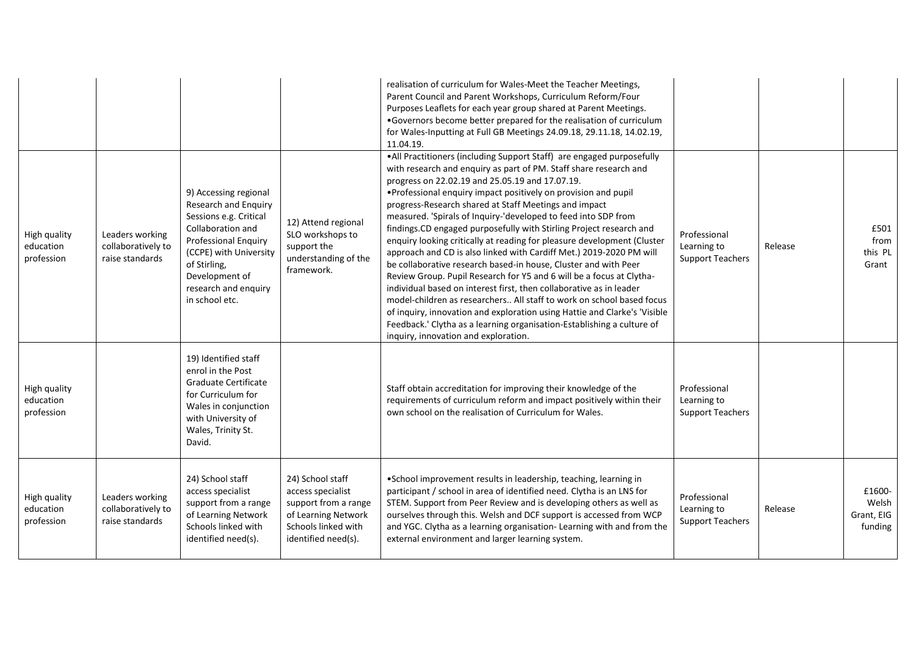|                                         |                                                          |                                                                                                                                                                                                                                   |                                                                                                                                    | realisation of curriculum for Wales-Meet the Teacher Meetings,<br>Parent Council and Parent Workshops, Curriculum Reform/Four<br>Purposes Leaflets for each year group shared at Parent Meetings.<br>.Governors become better prepared for the realisation of curriculum<br>for Wales-Inputting at Full GB Meetings 24.09.18, 29.11.18, 14.02.19,<br>11.04.19.                                                                                                                                                                                                                                                                                                                                                                                                                                                                                                                                                                                                                                                                                                                                                  |                                                        |         |                                          |
|-----------------------------------------|----------------------------------------------------------|-----------------------------------------------------------------------------------------------------------------------------------------------------------------------------------------------------------------------------------|------------------------------------------------------------------------------------------------------------------------------------|-----------------------------------------------------------------------------------------------------------------------------------------------------------------------------------------------------------------------------------------------------------------------------------------------------------------------------------------------------------------------------------------------------------------------------------------------------------------------------------------------------------------------------------------------------------------------------------------------------------------------------------------------------------------------------------------------------------------------------------------------------------------------------------------------------------------------------------------------------------------------------------------------------------------------------------------------------------------------------------------------------------------------------------------------------------------------------------------------------------------|--------------------------------------------------------|---------|------------------------------------------|
| High quality<br>education<br>profession | Leaders working<br>collaboratively to<br>raise standards | 9) Accessing regional<br>Research and Enquiry<br>Sessions e.g. Critical<br>Collaboration and<br><b>Professional Enguiry</b><br>(CCPE) with University<br>of Stirling,<br>Development of<br>research and enquiry<br>in school etc. | 12) Attend regional<br>SLO workshops to<br>support the<br>understanding of the<br>framework.                                       | . All Practitioners (including Support Staff) are engaged purposefully<br>with research and enquiry as part of PM. Staff share research and<br>progress on 22.02.19 and 25.05.19 and 17.07.19.<br>. Professional enquiry impact positively on provision and pupil<br>progress-Research shared at Staff Meetings and impact<br>measured. 'Spirals of Inquiry-'developed to feed into SDP from<br>findings.CD engaged purposefully with Stirling Project research and<br>enquiry looking critically at reading for pleasure development (Cluster<br>approach and CD is also linked with Cardiff Met.) 2019-2020 PM will<br>be collaborative research based-in house, Cluster and with Peer<br>Review Group. Pupil Research for Y5 and 6 will be a focus at Clytha-<br>individual based on interest first, then collaborative as in leader<br>model-children as researchers All staff to work on school based focus<br>of inquiry, innovation and exploration using Hattie and Clarke's 'Visible<br>Feedback.' Clytha as a learning organisation-Establishing a culture of<br>inquiry, innovation and exploration. | Professional<br>Learning to<br><b>Support Teachers</b> | Release | £501<br>from<br>this PL<br>Grant         |
| High quality<br>education<br>profession |                                                          | 19) Identified staff<br>enrol in the Post<br>Graduate Certificate<br>for Curriculum for<br>Wales in conjunction<br>with University of<br>Wales, Trinity St.<br>David.                                                             |                                                                                                                                    | Staff obtain accreditation for improving their knowledge of the<br>requirements of curriculum reform and impact positively within their<br>own school on the realisation of Curriculum for Wales.                                                                                                                                                                                                                                                                                                                                                                                                                                                                                                                                                                                                                                                                                                                                                                                                                                                                                                               | Professional<br>Learning to<br><b>Support Teachers</b> |         |                                          |
| High quality<br>education<br>profession | Leaders working<br>collaboratively to<br>raise standards | 24) School staff<br>access specialist<br>support from a range<br>of Learning Network<br>Schools linked with<br>identified need(s).                                                                                                | 24) School staff<br>access specialist<br>support from a range<br>of Learning Network<br>Schools linked with<br>identified need(s). | •School improvement results in leadership, teaching, learning in<br>participant / school in area of identified need. Clytha is an LNS for<br>STEM. Support from Peer Review and is developing others as well as<br>ourselves through this. Welsh and DCF support is accessed from WCP<br>and YGC. Clytha as a learning organisation- Learning with and from the<br>external environment and larger learning system.                                                                                                                                                                                                                                                                                                                                                                                                                                                                                                                                                                                                                                                                                             | Professional<br>Learning to<br><b>Support Teachers</b> | Release | £1600-<br>Welsh<br>Grant, EIG<br>funding |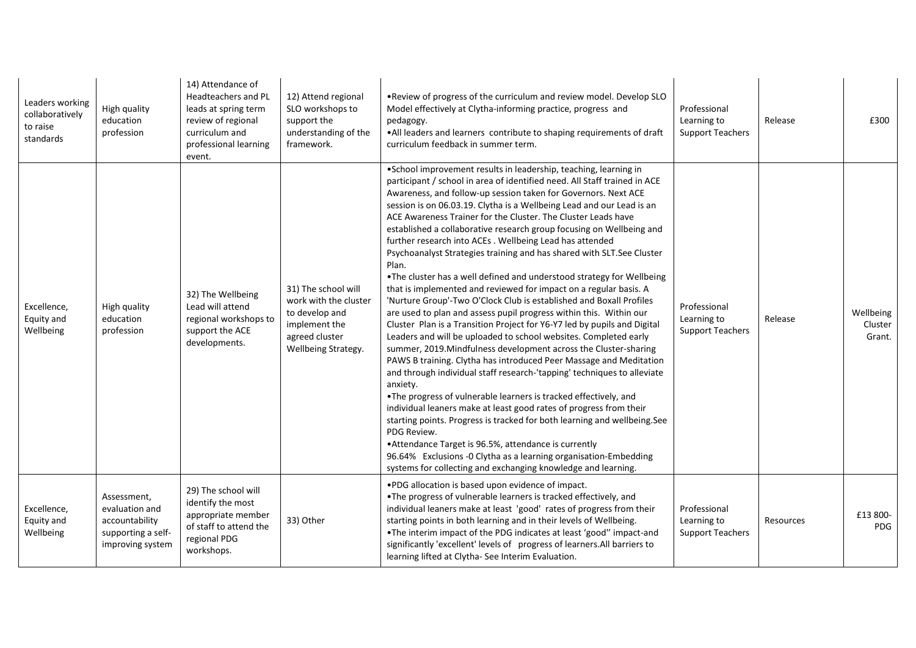| Leaders working<br>collaboratively<br>to raise<br>standards | High quality<br>education<br>profession                                                   | 14) Attendance of<br>Headteachers and PL<br>leads at spring term<br>review of regional<br>curriculum and<br>professional learning<br>event. | 12) Attend regional<br>SLO workshops to<br>support the<br>understanding of the<br>framework.                             | . Review of progress of the curriculum and review model. Develop SLO<br>Model effectively at Clytha-informing practice, progress and<br>pedagogy.<br>. All leaders and learners contribute to shaping requirements of draft<br>curriculum feedback in summer term.                                                                                                                                                                                                                                                                                                                                                                                                                                                                                                                                                                                                                                                                                                                                                                                                                                                                                                                                                                                                                                                                                                                                                                                                                                                                                                                                                                                                                             | Professional<br>Learning to<br><b>Support Teachers</b> | Release   | £300                           |
|-------------------------------------------------------------|-------------------------------------------------------------------------------------------|---------------------------------------------------------------------------------------------------------------------------------------------|--------------------------------------------------------------------------------------------------------------------------|------------------------------------------------------------------------------------------------------------------------------------------------------------------------------------------------------------------------------------------------------------------------------------------------------------------------------------------------------------------------------------------------------------------------------------------------------------------------------------------------------------------------------------------------------------------------------------------------------------------------------------------------------------------------------------------------------------------------------------------------------------------------------------------------------------------------------------------------------------------------------------------------------------------------------------------------------------------------------------------------------------------------------------------------------------------------------------------------------------------------------------------------------------------------------------------------------------------------------------------------------------------------------------------------------------------------------------------------------------------------------------------------------------------------------------------------------------------------------------------------------------------------------------------------------------------------------------------------------------------------------------------------------------------------------------------------|--------------------------------------------------------|-----------|--------------------------------|
| Excellence,<br>Equity and<br>Wellbeing                      | High quality<br>education<br>profession                                                   | 32) The Wellbeing<br>Lead will attend<br>regional workshops to<br>support the ACE<br>developments.                                          | 31) The school will<br>work with the cluster<br>to develop and<br>implement the<br>agreed cluster<br>Wellbeing Strategy. | •School improvement results in leadership, teaching, learning in<br>participant / school in area of identified need. All Staff trained in ACE<br>Awareness, and follow-up session taken for Governors. Next ACE<br>session is on 06.03.19. Clytha is a Wellbeing Lead and our Lead is an<br>ACE Awareness Trainer for the Cluster. The Cluster Leads have<br>established a collaborative research group focusing on Wellbeing and<br>further research into ACEs. Wellbeing Lead has attended<br>Psychoanalyst Strategies training and has shared with SLT.See Cluster<br>Plan.<br>. The cluster has a well defined and understood strategy for Wellbeing<br>that is implemented and reviewed for impact on a regular basis. A<br>'Nurture Group'-Two O'Clock Club is established and Boxall Profiles<br>are used to plan and assess pupil progress within this. Within our<br>Cluster Plan is a Transition Project for Y6-Y7 led by pupils and Digital<br>Leaders and will be uploaded to school websites. Completed early<br>summer, 2019. Mindfulness development across the Cluster-sharing<br>PAWS B training. Clytha has introduced Peer Massage and Meditation<br>and through individual staff research-'tapping' techniques to alleviate<br>anxiety.<br>•The progress of vulnerable learners is tracked effectively, and<br>individual leaners make at least good rates of progress from their<br>starting points. Progress is tracked for both learning and wellbeing.See<br>PDG Review.<br>• Attendance Target is 96.5%, attendance is currently<br>96.64% Exclusions -0 Clytha as a learning organisation-Embedding<br>systems for collecting and exchanging knowledge and learning. | Professional<br>Learning to<br><b>Support Teachers</b> | Release   | Wellbeing<br>Cluster<br>Grant. |
| Excellence,<br>Equity and<br>Wellbeing                      | Assessment,<br>evaluation and<br>accountability<br>supporting a self-<br>improving system | 29) The school will<br>identify the most<br>appropriate member<br>of staff to attend the<br>regional PDG<br>workshops.                      | 33) Other                                                                                                                | .PDG allocation is based upon evidence of impact.<br>•The progress of vulnerable learners is tracked effectively, and<br>individual leaners make at least 'good' rates of progress from their<br>starting points in both learning and in their levels of Wellbeing.<br>. The interim impact of the PDG indicates at least 'good" impact-and<br>significantly 'excellent' levels of progress of learners. All barriers to<br>learning lifted at Clytha-See Interim Evaluation.                                                                                                                                                                                                                                                                                                                                                                                                                                                                                                                                                                                                                                                                                                                                                                                                                                                                                                                                                                                                                                                                                                                                                                                                                  | Professional<br>Learning to<br><b>Support Teachers</b> | Resources | £13 800-<br>PDG                |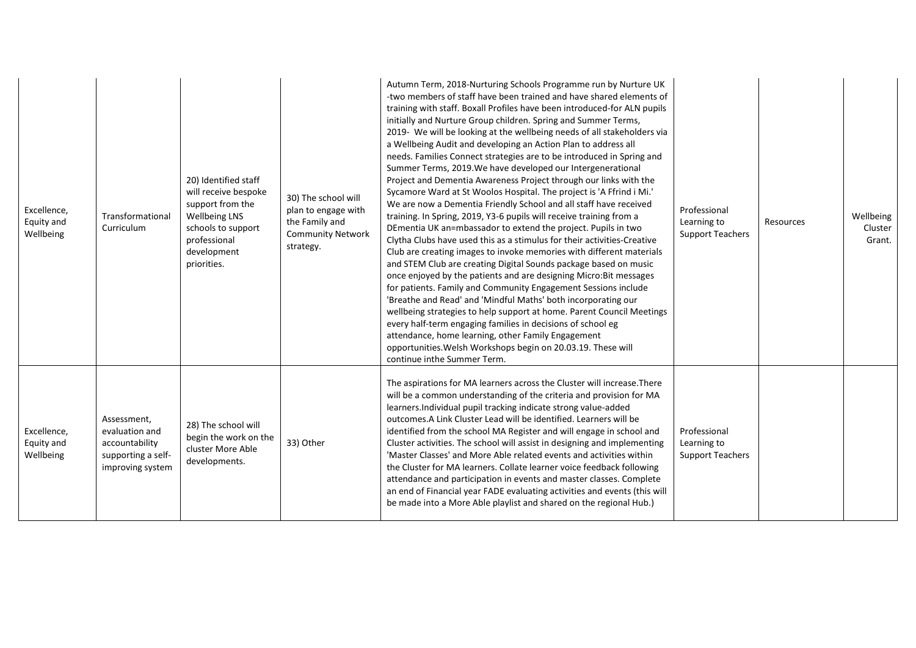| Excellence,<br>Equity and<br>Wellbeing | Transformational<br>Curriculum                                                            | 20) Identified staff<br>will receive bespoke<br>support from the<br><b>Wellbeing LNS</b><br>schools to support<br>professional<br>development<br>priorities. | 30) The school will<br>plan to engage with<br>the Family and<br><b>Community Network</b><br>strategy. | Autumn Term, 2018-Nurturing Schools Programme run by Nurture UK<br>-two members of staff have been trained and have shared elements of<br>training with staff. Boxall Profiles have been introduced-for ALN pupils<br>initially and Nurture Group children. Spring and Summer Terms,<br>2019- We will be looking at the wellbeing needs of all stakeholders via<br>a Wellbeing Audit and developing an Action Plan to address all<br>needs. Families Connect strategies are to be introduced in Spring and<br>Summer Terms, 2019. We have developed our Intergenerational<br>Project and Dementia Awareness Project through our links with the<br>Sycamore Ward at St Woolos Hospital. The project is 'A Ffrind i Mi.'<br>We are now a Dementia Friendly School and all staff have received<br>training. In Spring, 2019, Y3-6 pupils will receive training from a<br>DEmentia UK an=mbassador to extend the project. Pupils in two<br>Clytha Clubs have used this as a stimulus for their activities-Creative<br>Club are creating images to invoke memories with different materials<br>and STEM Club are creating Digital Sounds package based on music<br>once enjoyed by the patients and are designing Micro: Bit messages<br>for patients. Family and Community Engagement Sessions include<br>'Breathe and Read' and 'Mindful Maths' both incorporating our<br>wellbeing strategies to help support at home. Parent Council Meetings<br>every half-term engaging families in decisions of school eg<br>attendance, home learning, other Family Engagement<br>opportunities. Welsh Workshops begin on 20.03.19. These will<br>continue inthe Summer Term. | Professional<br>Learning to<br><b>Support Teachers</b> | Resources | Wellbeing<br>Cluster<br>Grant. |
|----------------------------------------|-------------------------------------------------------------------------------------------|--------------------------------------------------------------------------------------------------------------------------------------------------------------|-------------------------------------------------------------------------------------------------------|------------------------------------------------------------------------------------------------------------------------------------------------------------------------------------------------------------------------------------------------------------------------------------------------------------------------------------------------------------------------------------------------------------------------------------------------------------------------------------------------------------------------------------------------------------------------------------------------------------------------------------------------------------------------------------------------------------------------------------------------------------------------------------------------------------------------------------------------------------------------------------------------------------------------------------------------------------------------------------------------------------------------------------------------------------------------------------------------------------------------------------------------------------------------------------------------------------------------------------------------------------------------------------------------------------------------------------------------------------------------------------------------------------------------------------------------------------------------------------------------------------------------------------------------------------------------------------------------------------------------------------------------------------------|--------------------------------------------------------|-----------|--------------------------------|
| Excellence,<br>Equity and<br>Wellbeing | Assessment,<br>evaluation and<br>accountability<br>supporting a self-<br>improving system | 28) The school will<br>begin the work on the<br>cluster More Able<br>developments.                                                                           | 33) Other                                                                                             | The aspirations for MA learners across the Cluster will increase. There<br>will be a common understanding of the criteria and provision for MA<br>learners. Individual pupil tracking indicate strong value-added<br>outcomes. A Link Cluster Lead will be identified. Learners will be<br>identified from the school MA Register and will engage in school and<br>Cluster activities. The school will assist in designing and implementing<br>'Master Classes' and More Able related events and activities within<br>the Cluster for MA learners. Collate learner voice feedback following<br>attendance and participation in events and master classes. Complete<br>an end of Financial year FADE evaluating activities and events (this will<br>be made into a More Able playlist and shared on the regional Hub.)                                                                                                                                                                                                                                                                                                                                                                                                                                                                                                                                                                                                                                                                                                                                                                                                                                            | Professional<br>Learning to<br><b>Support Teachers</b> |           |                                |